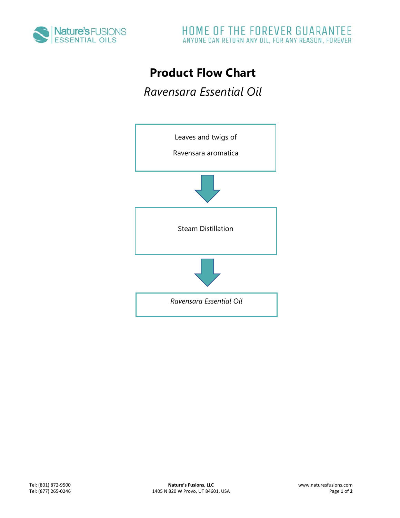

## **Product Flow Chart**

*Ravensara Essential Oil*